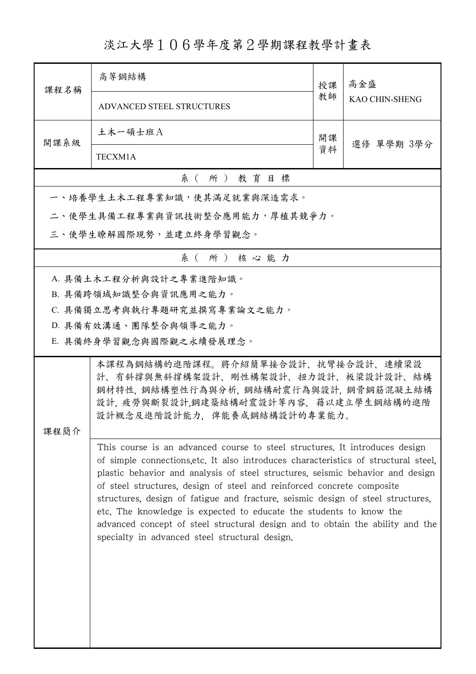## 淡江大學106學年度第2學期課程教學計畫表

| 課程名稱 | 高等鋼結構                                                                                                                                                                                                                                                                                                                                                                                                                                                                                                                                                                                                                      | 授課 | 高金盛<br><b>KAO CHIN-SHENG</b> |  |  |  |  |  |
|------|----------------------------------------------------------------------------------------------------------------------------------------------------------------------------------------------------------------------------------------------------------------------------------------------------------------------------------------------------------------------------------------------------------------------------------------------------------------------------------------------------------------------------------------------------------------------------------------------------------------------------|----|------------------------------|--|--|--|--|--|
|      | ADVANCED STEEL STRUCTURES                                                                                                                                                                                                                                                                                                                                                                                                                                                                                                                                                                                                  | 教師 |                              |  |  |  |  |  |
| 開課系級 | 土木一碩士班A                                                                                                                                                                                                                                                                                                                                                                                                                                                                                                                                                                                                                    | 開課 | 選修 單學期 3學分                   |  |  |  |  |  |
|      | TECXM1A                                                                                                                                                                                                                                                                                                                                                                                                                                                                                                                                                                                                                    | 資料 |                              |  |  |  |  |  |
|      | 系(所)教育目標                                                                                                                                                                                                                                                                                                                                                                                                                                                                                                                                                                                                                   |    |                              |  |  |  |  |  |
|      | 一、培養學生土木工程專業知識,使其滿足就業與深造需求。                                                                                                                                                                                                                                                                                                                                                                                                                                                                                                                                                                                                |    |                              |  |  |  |  |  |
|      | 二、使學生具備工程專業與資訊技術整合應用能力,厚植其競爭力。                                                                                                                                                                                                                                                                                                                                                                                                                                                                                                                                                                                             |    |                              |  |  |  |  |  |
|      | 三、使學生瞭解國際現勢,並建立終身學習觀念。                                                                                                                                                                                                                                                                                                                                                                                                                                                                                                                                                                                                     |    |                              |  |  |  |  |  |
|      | 系(所)核心能力                                                                                                                                                                                                                                                                                                                                                                                                                                                                                                                                                                                                                   |    |                              |  |  |  |  |  |
|      | A. 具備土木工程分析與設計之專業進階知識。                                                                                                                                                                                                                                                                                                                                                                                                                                                                                                                                                                                                     |    |                              |  |  |  |  |  |
|      | B. 具備跨領域知識整合與資訊應用之能力。                                                                                                                                                                                                                                                                                                                                                                                                                                                                                                                                                                                                      |    |                              |  |  |  |  |  |
|      | C. 具備獨立思考與執行專題研究並撰寫專業論文之能力。                                                                                                                                                                                                                                                                                                                                                                                                                                                                                                                                                                                                |    |                              |  |  |  |  |  |
|      | D. 具備有效溝通、團隊整合與領導之能力。                                                                                                                                                                                                                                                                                                                                                                                                                                                                                                                                                                                                      |    |                              |  |  |  |  |  |
|      | E. 具備終身學習觀念與國際觀之永續發展理念。                                                                                                                                                                                                                                                                                                                                                                                                                                                                                                                                                                                                    |    |                              |  |  |  |  |  |
| 課程簡介 | 本課程為鋼結構的進階課程。將介紹簡單接合設計、抗彎接合設計、連續梁設<br>計、有斜撐與無斜撐構架設計、剛性構架設計、扭力設計、板梁設計設計、結構<br>鋼材特性, 鋼結構塑性行為與分析, 鋼結構耐震行為與設計, 鋼骨鋼筋混凝土結構<br>設計,疲勞與斷裂設計,鋼建築結構耐震設計等內容, 藉以建立學生鋼結構的進階<br>設計概念及進階設計能力,俾能養成鋼結構設計的專業能力。                                                                                                                                                                                                                                                                                                                                                                                                                               |    |                              |  |  |  |  |  |
|      | This course is an advanced course to steel structures. It introduces design<br>of simple connections, etc. It also introduces characteristics of structural steel.<br>plastic behavior and analysis of steel structures, seismic behavior and design<br>of steel structures, design of steel and reinforced concrete composite<br>structures, design of fatigue and fracture, seismic design of steel structures,<br>etc. The knowledge is expected to educate the students to know the<br>advanced concept of steel structural design and to obtain the ability and the<br>specialty in advanced steel structural design. |    |                              |  |  |  |  |  |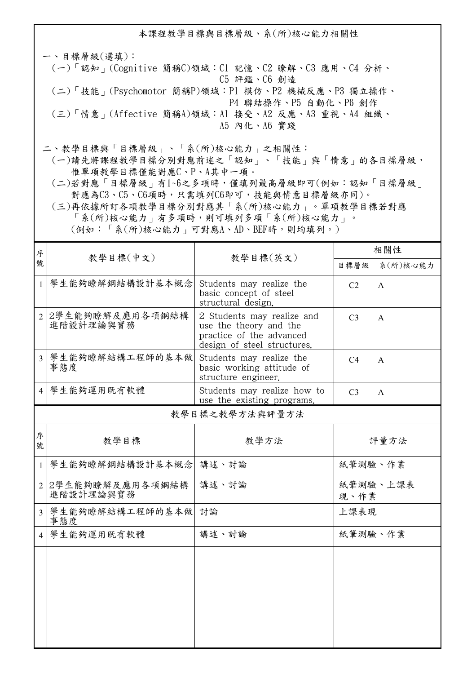本課程教學目標與目標層級、系(所)核心能力相關性

一、目標層級(選填): (一)「認知」(Cognitive 簡稱C)領域:C1 記憶、C2 瞭解、C3 應用、C4 分析、 C5 評鑑、C6 創造 (二)「技能」(Psychomotor 簡稱P)領域:P1 模仿、P2 機械反應、P3 獨立操作、 P4 聯結操作、P5 自動化、P6 創作 (三)「情意」(Affective 簡稱A)領域:A1 接受、A2 反應、A3 重視、A4 組織、 A5 內化、A6 實踐

二、教學目標與「目標層級」、「系(所)核心能力」之相關性:

 (一)請先將課程教學目標分別對應前述之「認知」、「技能」與「情意」的各目標層級, 惟單項教學目標僅能對應C、P、A其中一項。

 (二)若對應「目標層級」有1~6之多項時,僅填列最高層級即可(例如:認知「目標層級」 對應為C3、C5、C6項時,只需填列C6即可,技能與情意目標層級亦同)。

 (三)再依據所訂各項教學目標分別對應其「系(所)核心能力」。單項教學目標若對應 「系(所)核心能力」有多項時,則可填列多項「系(所)核心能力」。

(例如:「系(所)核心能力」可對應A、AD、BEF時,則均填列。)

| 序              |                                 |                                                                                                                 | 相關性              |              |  |  |  |  |
|----------------|---------------------------------|-----------------------------------------------------------------------------------------------------------------|------------------|--------------|--|--|--|--|
| 號              | 教學目標(中文)                        | 教學目標(英文)                                                                                                        |                  | 系(所)核心能力     |  |  |  |  |
| $\mathbf{1}$   | 學生能夠瞭解鋼結構設計基本概念                 | Students may realize the<br>basic concept of steel<br>structural design.                                        | C <sub>2</sub>   | $\mathsf{A}$ |  |  |  |  |
|                | 2 2 學生能夠瞭解及應用各項鋼結構<br>進階設計理論與實務 | 2 Students may realize and<br>use the theory and the<br>practice of the advanced<br>design of steel structures. | C <sub>3</sub>   | A            |  |  |  |  |
| $\overline{3}$ | 學生能夠瞭解結構工程師的基本做<br>事態度          | Students may realize the<br>basic working attitude of<br>structure engineer.                                    | C <sub>4</sub>   | A            |  |  |  |  |
| $\overline{4}$ | 學生能夠運用既有軟體                      | Students may realize how to<br>use the existing programs.                                                       | C <sub>3</sub>   | A            |  |  |  |  |
|                | 教學目標之教學方法與評量方法                  |                                                                                                                 |                  |              |  |  |  |  |
| 序<br>號         | 教學目標                            | 教學方法                                                                                                            | 評量方法             |              |  |  |  |  |
| $\mathbf{1}$   | 學生能夠瞭解鋼結構設計基本概念                 | 講述、討論                                                                                                           | 紙筆測驗、作業          |              |  |  |  |  |
|                | 2 2 學生能夠瞭解及應用各項鋼結構<br>進階設計理論與實務 | 講述、討論                                                                                                           | 紙筆測驗、上課表<br>現、作業 |              |  |  |  |  |
| $\mathfrak{Z}$ | 學生能夠瞭解結構工程師的基本做<br>事態度          | 討論                                                                                                              | 上課表現             |              |  |  |  |  |
| $\overline{4}$ | 學生能夠運用既有軟體                      | 講述、討論                                                                                                           | 紙筆測驗、作業          |              |  |  |  |  |
|                |                                 |                                                                                                                 |                  |              |  |  |  |  |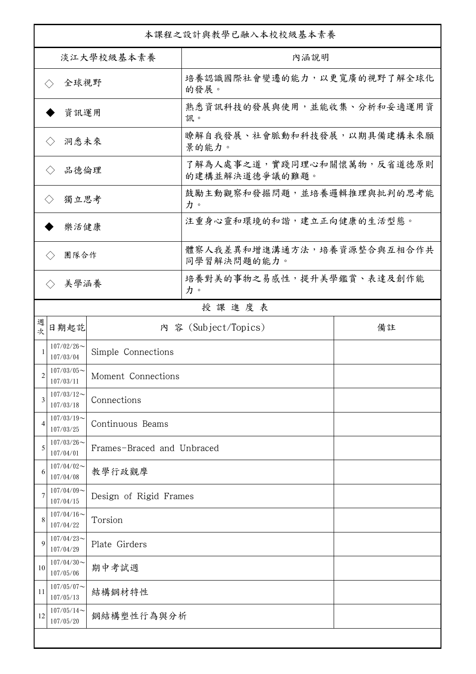| 本課程之設計與教學已融入本校校級基本素養                   |                               |                            |                                              |    |  |
|----------------------------------------|-------------------------------|----------------------------|----------------------------------------------|----|--|
| 淡江大學校級基本素養                             |                               |                            | 內涵說明                                         |    |  |
| 全球視野<br>$\left\langle \ \right\rangle$ |                               |                            | 培養認識國際社會變遷的能力,以更寬廣的視野了解全球化<br>的發展。           |    |  |
| 資訊運用                                   |                               |                            | 熟悉資訊科技的發展與使用,並能收集、分析和妥適運用資<br>訊。             |    |  |
| 洞悉未來<br>$\langle \ \rangle$            |                               |                            | 瞭解自我發展、社會脈動和科技發展,以期具備建構未來願<br>景的能力。          |    |  |
| 品德倫理<br>$\langle \ \rangle$            |                               |                            | 了解為人處事之道,實踐同理心和關懷萬物,反省道德原則<br>的建構並解決道德爭議的難題。 |    |  |
| 獨立思考<br>$\langle \rangle$              |                               |                            | 鼓勵主動觀察和發掘問題,並培養邏輯推理與批判的思考能<br>力。             |    |  |
| 樂活健康                                   |                               |                            | 注重身心靈和環境的和諧,建立正向健康的生活型態。                     |    |  |
| 團隊合作<br>$\langle \ \rangle$            |                               |                            | 體察人我差異和增進溝通方法,培養資源整合與互相合作共<br>同學習解決問題的能力。    |    |  |
| 美學涵養<br>$\langle \rangle$              |                               |                            | 培養對美的事物之易感性,提升美學鑑賞、表達及創作能<br>力。              |    |  |
|                                        |                               |                            | 授課進度表                                        |    |  |
| 週<br>坎                                 | 日期起訖                          |                            | 內 容 (Subject/Topics)                         | 備註 |  |
| 1                                      | $107/02/26$ ~<br>107/03/04    | Simple Connections         |                                              |    |  |
| $\overline{2}$                         | $107/03/05$ ~<br>107/03/11    | Moment Connections         |                                              |    |  |
| 3                                      | $107/03/12$ ~<br>107/03/18    | Connections                |                                              |    |  |
| $\overline{4}$                         | $107/03/19$ ~<br>107/03/25    | Continuous Beams           |                                              |    |  |
| 5                                      | $107/03/26$ ~<br>107/04/01    | Frames-Braced and Unbraced |                                              |    |  |
| 6                                      | $107/04/02$ ~<br>107/04/08    | 教學行政觀摩                     |                                              |    |  |
| 7                                      | $107/04/09$ ~<br>107/04/15    | Design of Rigid Frames     |                                              |    |  |
| 8                                      | $107/04/16 \sim$<br>107/04/22 | Torsion                    |                                              |    |  |
| 9                                      | $107/04/23$ ~<br>107/04/29    | Plate Girders              |                                              |    |  |
| 10                                     | $107/04/30$ ~<br>107/05/06    | 期中考試週                      |                                              |    |  |
| 11                                     | $107/05/07$ ~<br>107/05/13    | 結構鋼材特性                     |                                              |    |  |
| 12                                     | $107/05/14$ ~<br>107/05/20    | 鋼結構塑性行為與分析                 |                                              |    |  |
|                                        |                               |                            |                                              |    |  |